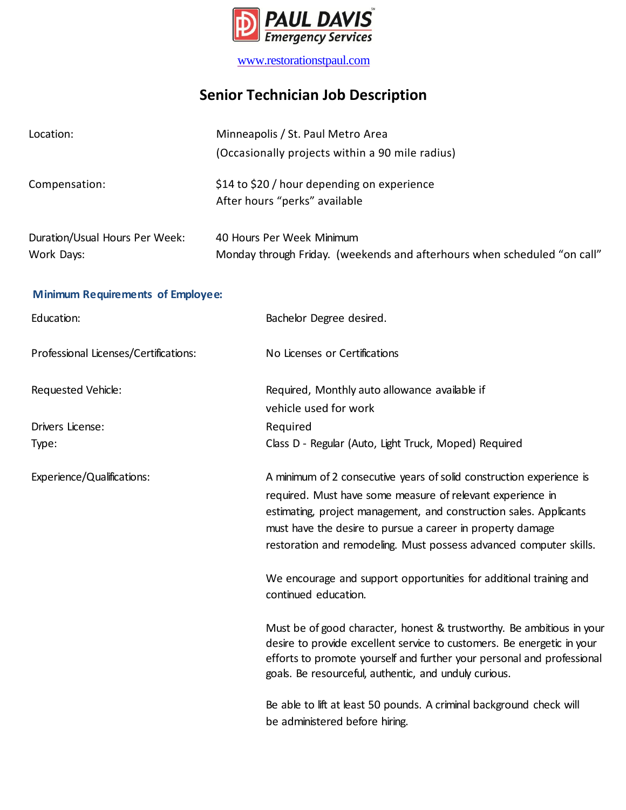

[www.restorationstpaul.com](http://www.restorationstpaul.com/)

## **Senior Technician Job Description**

| Location:                                    | Minneapolis / St. Paul Metro Area<br>(Occasionally projects within a 90 mile radius)                  |                                                                                                                                    |
|----------------------------------------------|-------------------------------------------------------------------------------------------------------|------------------------------------------------------------------------------------------------------------------------------------|
| Compensation:                                | \$14 to \$20 / hour depending on experience<br>After hours "perks" available                          |                                                                                                                                    |
| Duration/Usual Hours Per Week:<br>Work Days: | 40 Hours Per Week Minimum<br>Monday through Friday. (weekends and afterhours when scheduled "on call" |                                                                                                                                    |
| <b>Minimum Requirements of Employee:</b>     |                                                                                                       |                                                                                                                                    |
| Education:                                   |                                                                                                       | Bachelor Degree desired.                                                                                                           |
| Professional Licenses/Certifications:        |                                                                                                       | No Licenses or Certifications                                                                                                      |
| Requested Vehicle:                           |                                                                                                       | Required, Monthly auto allowance available if<br>vehicle used for work                                                             |
| Drivers License:                             |                                                                                                       | Required                                                                                                                           |
| Type:                                        |                                                                                                       | Class D - Regular (Auto, Light Truck, Moped) Required                                                                              |
| Experience/Qualifications:                   |                                                                                                       | A minimum of 2 consecutive years of solid construction experience is<br>required. Must have some measure of relevant experience in |

continued education.

Must be of good character, honest & trustworthy. Be ambitious in your desire to provide excellent service to customers. Be energetic in your efforts to promote yourself and further your personal and professional goals. Be resourceful, authentic, and unduly curious.

estimating, project management, and construction sales. Applicants

restoration and remodeling. Must possess advanced computer skills.

We encourage and support opportunities for additional training and

must have the desire to pursue a career in property damage

Be able to lift at least 50 pounds. A criminal background check will be administered before hiring.